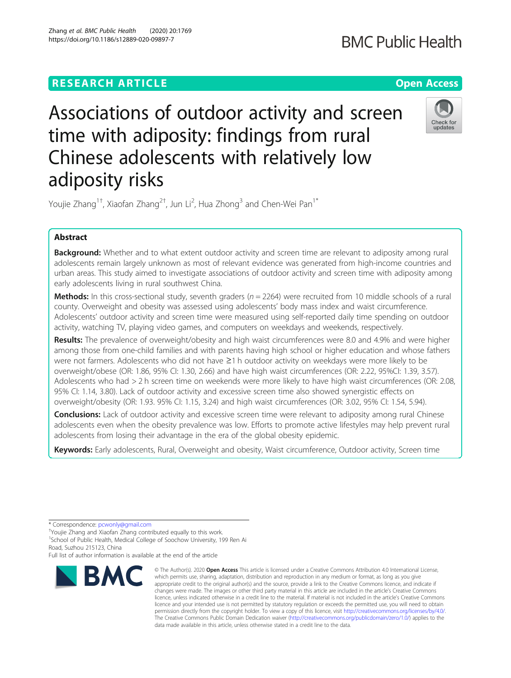Zhang et al. BMC Public Health (2020) 20:1769 https://doi.org/10.1186/s12889-020-09897-7

# Associations of outdoor activity and screen time with adiposity: findings from rural Chinese adolescents with relatively low adiposity risks

Youjie Zhang<sup>1†</sup>, Xiaofan Zhang<sup>2†</sup>, Jun Li<sup>2</sup>, Hua Zhong<sup>3</sup> and Chen-Wei Pan<sup>1\*</sup>

# Abstract

**Background:** Whether and to what extent outdoor activity and screen time are relevant to adiposity among rural adolescents remain largely unknown as most of relevant evidence was generated from high-income countries and urban areas. This study aimed to investigate associations of outdoor activity and screen time with adiposity among early adolescents living in rural southwest China.

**Methods:** In this cross-sectional study, seventh graders ( $n = 2264$ ) were recruited from 10 middle schools of a rural county. Overweight and obesity was assessed using adolescents' body mass index and waist circumference. Adolescents' outdoor activity and screen time were measured using self-reported daily time spending on outdoor activity, watching TV, playing video games, and computers on weekdays and weekends, respectively.

Results: The prevalence of overweight/obesity and high waist circumferences were 8.0 and 4.9% and were higher among those from one-child families and with parents having high school or higher education and whose fathers were not farmers. Adolescents who did not have ≥1 h outdoor activity on weekdays were more likely to be overweight/obese (OR: 1.86, 95% CI: 1.30, 2.66) and have high waist circumferences (OR: 2.22, 95%CI: 1.39, 3.57). Adolescents who had > 2 h screen time on weekends were more likely to have high waist circumferences (OR: 2.08, 95% CI: 1.14, 3.80). Lack of outdoor activity and excessive screen time also showed synergistic effects on overweight/obesity (OR: 1.93. 95% CI: 1.15, 3.24) and high waist circumferences (OR: 3.02, 95% CI: 1.54, 5.94).

**Conclusions:** Lack of outdoor activity and excessive screen time were relevant to adiposity among rural Chinese adolescents even when the obesity prevalence was low. Efforts to promote active lifestyles may help prevent rural adolescents from losing their advantage in the era of the global obesity epidemic.

Keywords: Early adolescents, Rural, Overweight and obesity, Waist circumference, Outdoor activity, Screen time

<sup>1</sup>School of Public Health, Medical College of Soochow University, 199 Ren Ai Road, Suzhou 215123, China

Full list of author information is available at the end of the article



**BMC** 





Check for undates

<sup>\*</sup> Correspondence: [pcwonly@gmail.com](mailto:pcwonly@gmail.com) †

Youjie Zhang and Xiaofan Zhang contributed equally to this work.

<sup>©</sup> The Author(s), 2020 **Open Access** This article is licensed under a Creative Commons Attribution 4.0 International License, which permits use, sharing, adaptation, distribution and reproduction in any medium or format, as long as you give appropriate credit to the original author(s) and the source, provide a link to the Creative Commons licence, and indicate if changes were made. The images or other third party material in this article are included in the article's Creative Commons licence, unless indicated otherwise in a credit line to the material. If material is not included in the article's Creative Commons licence and your intended use is not permitted by statutory regulation or exceeds the permitted use, you will need to obtain permission directly from the copyright holder. To view a copy of this licence, visit [http://creativecommons.org/licenses/by/4.0/.](http://creativecommons.org/licenses/by/4.0/) The Creative Commons Public Domain Dedication waiver [\(http://creativecommons.org/publicdomain/zero/1.0/](http://creativecommons.org/publicdomain/zero/1.0/)) applies to the data made available in this article, unless otherwise stated in a credit line to the data.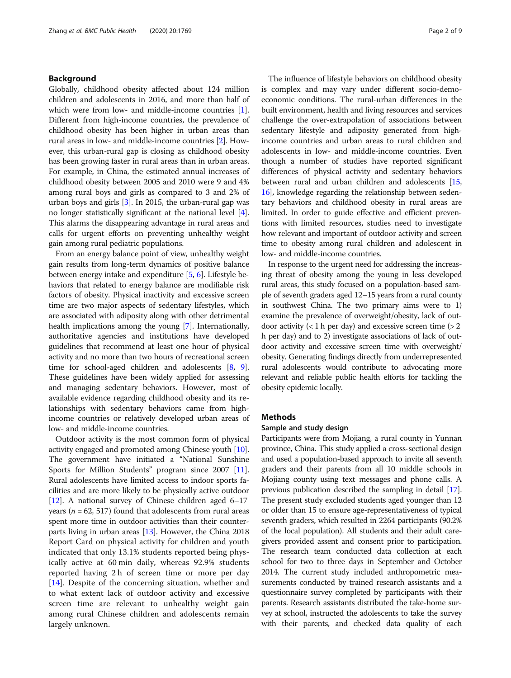# Background

Globally, childhood obesity affected about 124 million children and adolescents in 2016, and more than half of which were from low- and middle-income countries [[1](#page-7-0)]. Different from high-income countries, the prevalence of childhood obesity has been higher in urban areas than rural areas in low- and middle-income countries [\[2\]](#page-7-0). However, this urban-rural gap is closing as childhood obesity has been growing faster in rural areas than in urban areas. For example, in China, the estimated annual increases of childhood obesity between 2005 and 2010 were 9 and 4% among rural boys and girls as compared to 3 and 2% of urban boys and girls [\[3\]](#page-7-0). In 2015, the urban-rural gap was no longer statistically significant at the national level [[4](#page-7-0)]. This alarms the disappearing advantage in rural areas and calls for urgent efforts on preventing unhealthy weight gain among rural pediatric populations.

From an energy balance point of view, unhealthy weight gain results from long-term dynamics of positive balance between energy intake and expenditure [[5,](#page-7-0) [6](#page-7-0)]. Lifestyle behaviors that related to energy balance are modifiable risk factors of obesity. Physical inactivity and excessive screen time are two major aspects of sedentary lifestyles, which are associated with adiposity along with other detrimental health implications among the young [\[7\]](#page-7-0). Internationally, authoritative agencies and institutions have developed guidelines that recommend at least one hour of physical activity and no more than two hours of recreational screen time for school-aged children and adolescents [\[8](#page-7-0), [9](#page-7-0)]. These guidelines have been widely applied for assessing and managing sedentary behaviors. However, most of available evidence regarding childhood obesity and its relationships with sedentary behaviors came from highincome countries or relatively developed urban areas of low- and middle-income countries.

Outdoor activity is the most common form of physical activity engaged and promoted among Chinese youth [[10](#page-7-0)]. The government have initiated a "National Sunshine Sports for Million Students" program since 2007 [[11](#page-7-0)]. Rural adolescents have limited access to indoor sports facilities and are more likely to be physically active outdoor [[12](#page-7-0)]. A national survey of Chinese children aged 6–17 years ( $n = 62$ , 517) found that adolescents from rural areas spent more time in outdoor activities than their counterparts living in urban areas [\[13\]](#page-7-0). However, the China 2018 Report Card on physical activity for children and youth indicated that only 13.1% students reported being physically active at 60 min daily, whereas 92.9% students reported having 2 h of screen time or more per day [[14\]](#page-7-0). Despite of the concerning situation, whether and to what extent lack of outdoor activity and excessive screen time are relevant to unhealthy weight gain among rural Chinese children and adolescents remain largely unknown.

The influence of lifestyle behaviors on childhood obesity is complex and may vary under different socio-demoeconomic conditions. The rural-urban differences in the built environment, health and living resources and services challenge the over-extrapolation of associations between sedentary lifestyle and adiposity generated from highincome countries and urban areas to rural children and adolescents in low- and middle-income countries. Even though a number of studies have reported significant differences of physical activity and sedentary behaviors between rural and urban children and adolescents [[15](#page-7-0), [16](#page-7-0)], knowledge regarding the relationship between sedentary behaviors and childhood obesity in rural areas are limited. In order to guide effective and efficient preventions with limited resources, studies need to investigate how relevant and important of outdoor activity and screen time to obesity among rural children and adolescent in low- and middle-income countries.

In response to the urgent need for addressing the increasing threat of obesity among the young in less developed rural areas, this study focused on a population-based sample of seventh graders aged 12–15 years from a rural county in southwest China. The two primary aims were to 1) examine the prevalence of overweight/obesity, lack of outdoor activity  $(< 1 h per day)$  and excessive screen time  $(> 2$ h per day) and to 2) investigate associations of lack of outdoor activity and excessive screen time with overweight/ obesity. Generating findings directly from underrepresented rural adolescents would contribute to advocating more relevant and reliable public health efforts for tackling the obesity epidemic locally.

#### Methods

# Sample and study design

Participants were from Mojiang, a rural county in Yunnan province, China. This study applied a cross-sectional design and used a population-based approach to invite all seventh graders and their parents from all 10 middle schools in Mojiang county using text messages and phone calls. A previous publication described the sampling in detail [\[17](#page-7-0)]. The present study excluded students aged younger than 12 or older than 15 to ensure age-representativeness of typical seventh graders, which resulted in 2264 participants (90.2% of the local population). All students and their adult caregivers provided assent and consent prior to participation. The research team conducted data collection at each school for two to three days in September and October 2014. The current study included anthropometric measurements conducted by trained research assistants and a questionnaire survey completed by participants with their parents. Research assistants distributed the take-home survey at school, instructed the adolescents to take the survey with their parents, and checked data quality of each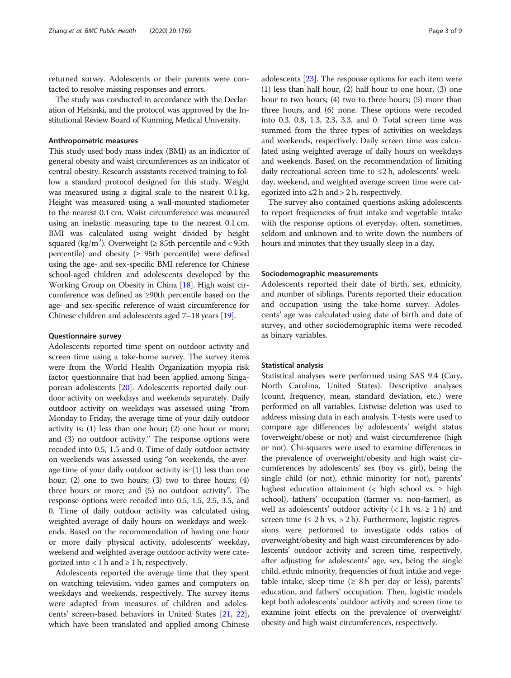returned survey. Adolescents or their parents were contacted to resolve missing responses and errors.

The study was conducted in accordance with the Declaration of Helsinki, and the protocol was approved by the Institutional Review Board of Kunming Medical University.

#### Anthropometric measures

This study used body mass index (BMI) as an indicator of general obesity and waist circumferences as an indicator of central obesity. Research assistants received training to follow a standard protocol designed for this study. Weight was measured using a digital scale to the nearest 0.1 kg. Height was measured using a wall-mounted stadiometer to the nearest 0.1 cm. Waist circumference was measured using an inelastic measuring tape to the nearest 0.1 cm. BMI was calculated using weight divided by height squared (kg/m<sup>2</sup>). Overweight ( $\geq 85$ th percentile and < 95th percentile) and obesity  $(≥ 95th$  percentile) were defined using the age- and sex-specific BMI reference for Chinese school-aged children and adolescents developed by the Working Group on Obesity in China [[18](#page-7-0)]. High waist circumference was defined as ≥90th percentile based on the age- and sex-specific reference of waist circumference for Chinese children and adolescents aged 7–18 years [\[19\]](#page-7-0).

# Questionnaire survey

Adolescents reported time spent on outdoor activity and screen time using a take-home survey. The survey items were from the World Health Organization myopia risk factor questionnaire that had been applied among Singaporean adolescents [\[20\]](#page-7-0). Adolescents reported daily outdoor activity on weekdays and weekends separately. Daily outdoor activity on weekdays was assessed using "from Monday to Friday, the average time of your daily outdoor activity is: (1) less than one hour; (2) one hour or more; and (3) no outdoor activity." The response options were recoded into 0.5, 1.5 and 0. Time of daily outdoor activity on weekends was assessed using "on weekends, the average time of your daily outdoor activity is: (1) less than one hour; (2) one to two hours; (3) two to three hours; (4) three hours or more; and (5) no outdoor activity". The response options were recoded into 0.5, 1.5, 2.5, 3.5, and 0. Time of daily outdoor activity was calculated using weighted average of daily hours on weekdays and weekends. Based on the recommendation of having one hour or more daily physical activity, adolescents' weekday, weekend and weighted average outdoor activity were categorized into  $< 1$  h and  $\ge 1$  h, respectively.

Adolescents reported the average time that they spent on watching television, video games and computers on weekdays and weekends, respectively. The survey items were adapted from measures of children and adolescents' screen-based behaviors in United States [\[21](#page-7-0), [22](#page-7-0)], which have been translated and applied among Chinese adolescents [\[23\]](#page-7-0). The response options for each item were (1) less than half hour, (2) half hour to one hour, (3) one hour to two hours; (4) two to three hours; (5) more than three hours, and (6) none. These options were recoded into 0.3, 0.8, 1.3, 2.3, 3.3, and 0. Total screen time was summed from the three types of activities on weekdays and weekends, respectively. Daily screen time was calculated using weighted average of daily hours on weekdays and weekends. Based on the recommendation of limiting daily recreational screen time to  $\leq 2$  h, adolescents' weekday, weekend, and weighted average screen time were categorized into  $\leq 2$  h and  $> 2$  h, respectively.

The survey also contained questions asking adolescents to report frequencies of fruit intake and vegetable intake with the response options of everyday, often, sometimes, seldom and unknown and to write down the numbers of hours and minutes that they usually sleep in a day.

#### Sociodemographic measurements

Adolescents reported their date of birth, sex, ethnicity, and number of siblings. Parents reported their education and occupation using the take-home survey. Adolescents' age was calculated using date of birth and date of survey, and other sociodemographic items were recoded as binary variables.

#### Statistical analysis

Statistical analyses were performed using SAS 9.4 (Cary, North Carolina, United States). Descriptive analyses (count, frequency, mean, standard deviation, etc.) were performed on all variables. Listwise deletion was used to address missing data in each analysis. T-tests were used to compare age differences by adolescents' weight status (overweight/obese or not) and waist circumference (high or not). Chi-squares were used to examine differences in the prevalence of overweight/obesity and high waist circumferences by adolescents' sex (boy vs. girl), being the single child (or not), ethnic minority (or not), parents' highest education attainment (< high school vs.  $\geq$  high school), fathers' occupation (farmer vs. non-farmer), as well as adolescents' outdoor activity  $(< 1 h vs. \ge 1 h)$  and screen time  $(≤ 2 h vs. > 2 h)$ . Furthermore, logistic regressions were performed to investigate odds ratios of overweight/obesity and high waist circumferences by adolescents' outdoor activity and screen time, respectively, after adjusting for adolescents' age, sex, being the single child, ethnic minority, frequencies of fruit intake and vegetable intake, sleep time  $(≥ 8 h per day or less)$ , parents' education, and fathers' occupation. Then, logistic models kept both adolescents' outdoor activity and screen time to examine joint effects on the prevalence of overweight/ obesity and high waist circumferences, respectively.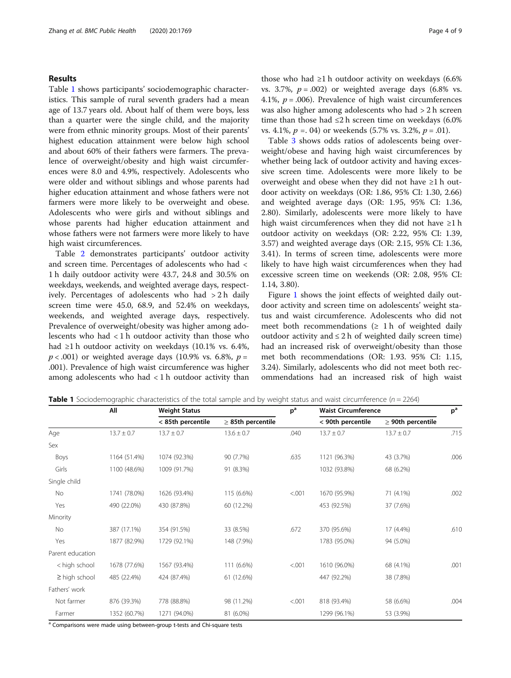# Results

Table 1 shows participants' sociodemographic characteristics. This sample of rural seventh graders had a mean age of 13.7 years old. About half of them were boys, less than a quarter were the single child, and the majority were from ethnic minority groups. Most of their parents' highest education attainment were below high school and about 60% of their fathers were farmers. The prevalence of overweight/obesity and high waist circumferences were 8.0 and 4.9%, respectively. Adolescents who were older and without siblings and whose parents had higher education attainment and whose fathers were not farmers were more likely to be overweight and obese. Adolescents who were girls and without siblings and whose parents had higher education attainment and whose fathers were not farmers were more likely to have high waist circumferences.

Table [2](#page-4-0) demonstrates participants' outdoor activity and screen time. Percentages of adolescents who had < 1 h daily outdoor activity were 43.7, 24.8 and 30.5% on weekdays, weekends, and weighted average days, respectively. Percentages of adolescents who had > 2 h daily screen time were 45.0, 68.9, and 52.4% on weekdays, weekends, and weighted average days, respectively. Prevalence of overweight/obesity was higher among adolescents who had < 1 h outdoor activity than those who had ≥1 h outdoor activity on weekdays (10.1% vs. 6.4%,  $p < .001$ ) or weighted average days (10.9% vs. 6.8%,  $p =$ .001). Prevalence of high waist circumference was higher among adolescents who had  $\langle 1 \rangle$  and  $\langle 1 \rangle$  and  $\langle 1 \rangle$  activity than those who had ≥1 h outdoor activity on weekdays  $(6.6%$ vs. 3.7%,  $p = .002$ ) or weighted average days (6.8% vs. 4.1%,  $p = .006$ ). Prevalence of high waist circumferences was also higher among adolescents who had > 2 h screen time than those had  $\leq$ 2 h screen time on weekdays (6.0%) vs. 4.1%,  $p = 0.04$  or weekends (5.7% vs. 3.2%,  $p = 0.01$ ).

Table [3](#page-5-0) shows odds ratios of adolescents being overweight/obese and having high waist circumferences by whether being lack of outdoor activity and having excessive screen time. Adolescents were more likely to be overweight and obese when they did not have ≥1 h outdoor activity on weekdays (OR: 1.86, 95% CI: 1.30, 2.66) and weighted average days (OR: 1.95, 95% CI: 1.36, 2.80). Similarly, adolescents were more likely to have high waist circumferences when they did not have  $\geq 1$  h outdoor activity on weekdays (OR: 2.22, 95% CI: 1.39, 3.57) and weighted average days (OR: 2.15, 95% CI: 1.36, 3.41). In terms of screen time, adolescents were more likely to have high waist circumferences when they had excessive screen time on weekends (OR: 2.08, 95% CI: 1.14, 3.80).

Figure [1](#page-6-0) shows the joint effects of weighted daily outdoor activity and screen time on adolescents' weight status and waist circumference. Adolescents who did not meet both recommendations  $(≥ 1 h of weighted daily)$ outdoor activity and  $\leq 2$  h of weighted daily screen time) had an increased risk of overweight/obesity than those met both recommendations (OR: 1.93. 95% CI: 1.15, 3.24). Similarly, adolescents who did not meet both recommendations had an increased risk of high waist

|  | <b>Table 1</b> Sociodemographic characteristics of the total sample and by weight status and waist circumference ( $n = 2264$ ) |  |  |  |  |  |  |  |
|--|---------------------------------------------------------------------------------------------------------------------------------|--|--|--|--|--|--|--|
|--|---------------------------------------------------------------------------------------------------------------------------------|--|--|--|--|--|--|--|

|                    | All            | <b>Weight Status</b> |                        | p <sup>a</sup> | <b>Waist Circumference</b> |                        | p <sup>a</sup> |
|--------------------|----------------|----------------------|------------------------|----------------|----------------------------|------------------------|----------------|
|                    |                | < 85th percentile    | $\geq$ 85th percentile |                | < 90th percentile          | $\geq$ 90th percentile |                |
| Age                | $13.7 \pm 0.7$ | $13.7 \pm 0.7$       | $13.6 \pm 0.7$         | .040           | $13.7 \pm 0.7$             | $13.7 \pm 0.7$         | .715           |
| Sex                |                |                      |                        |                |                            |                        |                |
| Boys               | 1164 (51.4%)   | 1074 (92.3%)         | 90 (7.7%)              | .635           | 1121 (96.3%)               | 43 (3.7%)              | .006           |
| Girls              | 1100 (48.6%)   | 1009 (91.7%)         | 91 (8.3%)              |                | 1032 (93.8%)               | 68 (6.2%)              |                |
| Single child       |                |                      |                        |                |                            |                        |                |
| No                 | 1741 (78.0%)   | 1626 (93.4%)         | 115 (6.6%)             | < .001         | 1670 (95.9%)               | 71 (4.1%)              | .002           |
| Yes                | 490 (22.0%)    | 430 (87.8%)          | 60 (12.2%)             |                | 453 (92.5%)                | 37 (7.6%)              |                |
| Minority           |                |                      |                        |                |                            |                        |                |
| <b>No</b>          | 387 (17.1%)    | 354 (91.5%)          | 33 (8.5%)              | .672           | 370 (95.6%)                | 17 (4.4%)              | .610           |
| Yes                | 1877 (82.9%)   | 1729 (92.1%)         | 148 (7.9%)             |                | 1783 (95.0%)               | 94 (5.0%)              |                |
| Parent education   |                |                      |                        |                |                            |                        |                |
| < high school      | 1678 (77.6%)   | 1567 (93.4%)         | 111 (6.6%)             | < .001         | 1610 (96.0%)               | 68 (4.1%)              | .001           |
| $\geq$ high school | 485 (22.4%)    | 424 (87.4%)          | 61 (12.6%)             |                | 447 (92.2%)                | 38 (7.8%)              |                |
| Fathers' work      |                |                      |                        |                |                            |                        |                |
| Not farmer         | 876 (39.3%)    | 778 (88.8%)          | 98 (11.2%)             | < .001         | 818 (93.4%)                | 58 (6.6%)              | .004           |
| Farmer             | 1352 (60.7%)   | 1271 (94.0%)         | 81 (6.0%)              |                | 1299 (96.1%)               | 53 (3.9%)              |                |

Comparisons were made using between-group t-tests and Chi-square tests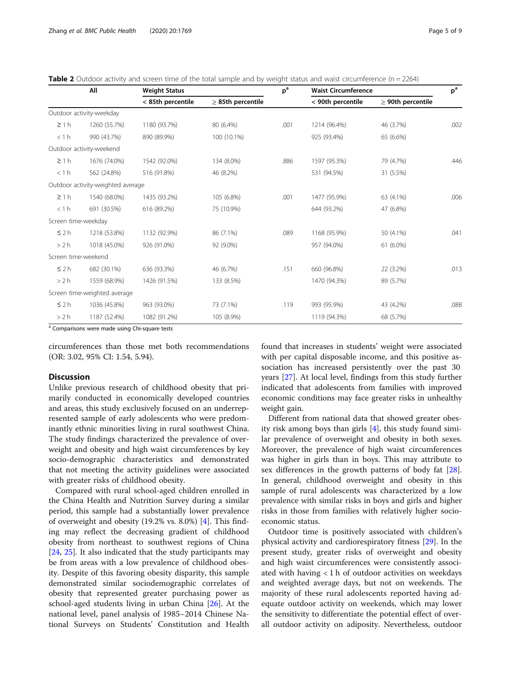<span id="page-4-0"></span>

| <b>Table 2</b> Outdoor activity and screen time of the total sample and by weight status and waist circumference ( $n = 2264$ ) |  |
|---------------------------------------------------------------------------------------------------------------------------------|--|
|                                                                                                                                 |  |

|                     | All                               | <b>Weight Status</b> |                        | $p^a$ | <b>Waist Circumference</b> |                        | $p^a$ |  |
|---------------------|-----------------------------------|----------------------|------------------------|-------|----------------------------|------------------------|-------|--|
|                     |                                   | < 85th percentile    | $\geq$ 85th percentile |       | < 90th percentile          | $\geq$ 90th percentile |       |  |
|                     | Outdoor activity-weekday          |                      |                        |       |                            |                        |       |  |
| $\geq 1 h$          | 1260 (55.7%)                      | 1180 (93.7%)         | 80 (6.4%)              | .001  | 1214 (96.4%)               | 46 (3.7%)              | .002  |  |
| < 1 h               | 990 (43.7%)                       | 890 (89.9%)          | 100 (10.1%)            |       | 925 (93.4%)                | 65 (6.6%)              |       |  |
|                     | Outdoor activity-weekend          |                      |                        |       |                            |                        |       |  |
| $\geq$ 1 h          | 1676 (74.0%)                      | 1542 (92.0%)         | 134 (8.0%)             | .886  | 1597 (95.3%)               | 79 (4.7%)              | .446  |  |
| < 1 h               | 562 (24.8%)                       | 516 (91.8%)          | 46 (8.2%)              |       | 531 (94.5%)                | 31 (5.5%)              |       |  |
|                     | Outdoor activity-weighted average |                      |                        |       |                            |                        |       |  |
| $\geq$ 1 h          | 1540 (68.0%)                      | 1435 (93.2%)         | 105 (6.8%)             | .001  | 1477 (95.9%)               | 63 (4.1%)              | .006  |  |
| < 1 h               | 691 (30.5%)                       | 616 (89.2%)          | 75 (10.9%)             |       | 644 (93.2%)                | 47 (6.8%)              |       |  |
| Screen time-weekday |                                   |                      |                        |       |                            |                        |       |  |
| $\leq$ 2 h          | 1218 (53.8%)                      | 1132 (92.9%)         | 86 (7.1%)              | .089  | 1168 (95.9%)               | 50 (4.1%)              | .041  |  |
| >2 h                | 1018 (45.0%)                      | 926 (91.0%)          | 92 (9.0%)              |       | 957 (94.0%)                | $61(6.0\%)$            |       |  |
| Screen time-weekend |                                   |                      |                        |       |                            |                        |       |  |
| $\leq$ 2 h          | 682 (30.1%)                       | 636 (93.3%)          | 46 (6.7%)              | .151  | 660 (96.8%)                | 22 (3.2%)              | .013  |  |
| >2 h                | 1559 (68.9%)                      | 1426 (91.5%)         | 133 (8.5%)             |       | 1470 (94.3%)               | 89 (5.7%)              |       |  |
|                     | Screen time-weighted average      |                      |                        |       |                            |                        |       |  |
| $\leq$ 2 h          | 1036 (45.8%)                      | 963 (93.0%)          | 73 (7.1%)              | .119  | 993 (95.9%)                | 43 (4.2%)              | .088  |  |
| > 2 h               | 1187 (52.4%)                      | 1082 (91.2%)         | 105 (8.9%)             |       | 1119 (94.3%)               | 68 (5.7%)              |       |  |

<sup>a</sup> Comparisons were made using Chi-square tests

circumferences than those met both recommendations (OR: 3.02, 95% CI: 1.54, 5.94).

#### **Discussion**

Unlike previous research of childhood obesity that primarily conducted in economically developed countries and areas, this study exclusively focused on an underrepresented sample of early adolescents who were predominantly ethnic minorities living in rural southwest China. The study findings characterized the prevalence of overweight and obesity and high waist circumferences by key socio-demographic characteristics and demonstrated that not meeting the activity guidelines were associated with greater risks of childhood obesity.

Compared with rural school-aged children enrolled in the China Health and Nutrition Survey during a similar period, this sample had a substantially lower prevalence of overweight and obesity (19.2% vs. 8.0%) [\[4](#page-7-0)]. This finding may reflect the decreasing gradient of childhood obesity from northeast to southwest regions of China [[24,](#page-7-0) [25\]](#page-7-0). It also indicated that the study participants may be from areas with a low prevalence of childhood obesity. Despite of this favoring obesity disparity, this sample demonstrated similar sociodemographic correlates of obesity that represented greater purchasing power as school-aged students living in urban China [[26](#page-7-0)]. At the national level, panel analysis of 1985–2014 Chinese National Surveys on Students' Constitution and Health

found that increases in students' weight were associated with per capital disposable income, and this positive association has increased persistently over the past 30 years [[27](#page-7-0)]. At local level, findings from this study further indicated that adolescents from families with improved economic conditions may face greater risks in unhealthy weight gain.

Different from national data that showed greater obesity risk among boys than girls [\[4](#page-7-0)], this study found similar prevalence of overweight and obesity in both sexes. Moreover, the prevalence of high waist circumferences was higher in girls than in boys. This may attribute to sex differences in the growth patterns of body fat [\[28](#page-7-0)]. In general, childhood overweight and obesity in this sample of rural adolescents was characterized by a low prevalence with similar risks in boys and girls and higher risks in those from families with relatively higher socioeconomic status.

Outdoor time is positively associated with children's physical activity and cardiorespiratory fitness [[29](#page-7-0)]. In the present study, greater risks of overweight and obesity and high waist circumferences were consistently associated with having < 1 h of outdoor activities on weekdays and weighted average days, but not on weekends. The majority of these rural adolescents reported having adequate outdoor activity on weekends, which may lower the sensitivity to differentiate the potential effect of overall outdoor activity on adiposity. Nevertheless, outdoor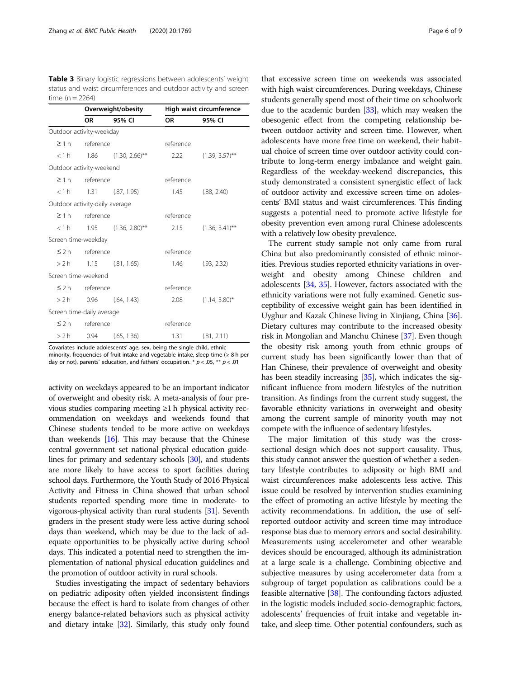<span id="page-5-0"></span>Table 3 Binary logistic regressions between adolescents' weight status and waist circumferences and outdoor activity and screen time  $(n = 2264)$ 

|                                | Overweight/obesity   |                                           | High waist circumference |                   |  |
|--------------------------------|----------------------|-------------------------------------------|--------------------------|-------------------|--|
|                                | OR                   | 95% CI                                    | <b>OR</b>                | 95% CI            |  |
| Outdoor activity-weekday       |                      |                                           |                          |                   |  |
| $\geq$ 1 h                     | reference            |                                           | reference                |                   |  |
|                                |                      | $< 1 h$ 1.86 (1.30, 2.66)**               | 2.22                     | $(1.39, 3.57)$ ** |  |
| Outdoor activity-weekend       |                      |                                           |                          |                   |  |
|                                | $\geq 1$ h reference |                                           | reference                |                   |  |
|                                |                      | $< 1 h$ 1.31 (.87, 1.95)                  | 1.45                     | (.88, 2.40)       |  |
| Outdoor activity-daily average |                      |                                           |                          |                   |  |
|                                | $\geq 1 h$ reference |                                           | reference                |                   |  |
|                                |                      | $< 1 h$ 1.95 $(1.36, 2.80)$ <sup>**</sup> | 2.15                     | $(1.36, 3.41)$ ** |  |
| Screen time-weekday            |                      |                                           |                          |                   |  |
|                                | $\leq$ 2 h reference |                                           | reference                |                   |  |
|                                |                      | $> 2 h$ 1.15 (.81, 1.65)                  | 1.46                     | (.93, 2.32)       |  |
| Screen time-weekend            |                      |                                           |                          |                   |  |
|                                | $\leq$ 2 h reference |                                           | reference                |                   |  |
|                                |                      | $> 2 h$ 0.96 (.64, 1.43)                  | 2.08                     | $(1.14, 3.80)^*$  |  |
| Screen time-daily average      |                      |                                           |                          |                   |  |
|                                | $\leq$ 2 h reference |                                           | reference                |                   |  |
| >2 h                           | 0.94                 | (.65, 1.36)                               | 1.31                     | (.81, 2.11)       |  |

Covariates include adolescents' age, sex, being the single child, ethnic minority, frequencies of fruit intake and vegetable intake, sleep time  $(≥ 8 h per)$ day or not), parents' education, and fathers' occupation.  $* p < .05$ ,  $** p < .01$ 

activity on weekdays appeared to be an important indicator of overweight and obesity risk. A meta-analysis of four previous studies comparing meeting ≥1 h physical activity recommendation on weekdays and weekends found that Chinese students tended to be more active on weekdays than weekends [\[16\]](#page-7-0). This may because that the Chinese central government set national physical education guidelines for primary and sedentary schools [\[30\]](#page-7-0), and students are more likely to have access to sport facilities during school days. Furthermore, the Youth Study of 2016 Physical Activity and Fitness in China showed that urban school students reported spending more time in moderate- to vigorous-physical activity than rural students [[31](#page-7-0)]. Seventh graders in the present study were less active during school days than weekend, which may be due to the lack of adequate opportunities to be physically active during school days. This indicated a potential need to strengthen the implementation of national physical education guidelines and the promotion of outdoor activity in rural schools.

Studies investigating the impact of sedentary behaviors on pediatric adiposity often yielded inconsistent findings because the effect is hard to isolate from changes of other energy balance-related behaviors such as physical activity and dietary intake [[32](#page-8-0)]. Similarly, this study only found

that excessive screen time on weekends was associated with high waist circumferences. During weekdays, Chinese students generally spend most of their time on schoolwork due to the academic burden [[33](#page-8-0)], which may weaken the obesogenic effect from the competing relationship between outdoor activity and screen time. However, when adolescents have more free time on weekend, their habitual choice of screen time over outdoor activity could contribute to long-term energy imbalance and weight gain. Regardless of the weekday-weekend discrepancies, this study demonstrated a consistent synergistic effect of lack of outdoor activity and excessive screen time on adolescents' BMI status and waist circumferences. This finding suggests a potential need to promote active lifestyle for obesity prevention even among rural Chinese adolescents with a relatively low obesity prevalence.

The current study sample not only came from rural China but also predominantly consisted of ethnic minorities. Previous studies reported ethnicity variations in overweight and obesity among Chinese children and adolescents [[34](#page-8-0), [35](#page-8-0)]. However, factors associated with the ethnicity variations were not fully examined. Genetic susceptibility of excessive weight gain has been identified in Uyghur and Kazak Chinese living in Xinjiang, China [[36](#page-8-0)]. Dietary cultures may contribute to the increased obesity risk in Mongolian and Manchu Chinese [\[37\]](#page-8-0). Even though the obesity risk among youth from ethnic groups of current study has been significantly lower than that of Han Chinese, their prevalence of overweight and obesity has been steadily increasing [\[35\]](#page-8-0), which indicates the significant influence from modern lifestyles of the nutrition transition. As findings from the current study suggest, the favorable ethnicity variations in overweight and obesity among the current sample of minority youth may not compete with the influence of sedentary lifestyles.

The major limitation of this study was the crosssectional design which does not support causality. Thus, this study cannot answer the question of whether a sedentary lifestyle contributes to adiposity or high BMI and waist circumferences make adolescents less active. This issue could be resolved by intervention studies examining the effect of promoting an active lifestyle by meeting the activity recommendations. In addition, the use of selfreported outdoor activity and screen time may introduce response bias due to memory errors and social desirability. Measurements using accelerometer and other wearable devices should be encouraged, although its administration at a large scale is a challenge. Combining objective and subjective measures by using accelerometer data from a subgroup of target population as calibrations could be a feasible alternative [[38\]](#page-8-0). The confounding factors adjusted in the logistic models included socio-demographic factors, adolescents' frequencies of fruit intake and vegetable intake, and sleep time. Other potential confounders, such as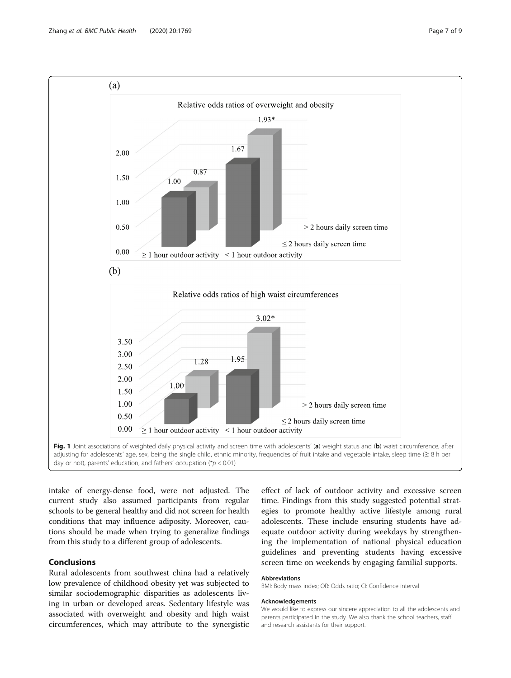<span id="page-6-0"></span>

intake of energy-dense food, were not adjusted. The current study also assumed participants from regular schools to be general healthy and did not screen for health conditions that may influence adiposity. Moreover, cautions should be made when trying to generalize findings from this study to a different group of adolescents.

# Conclusions

Rural adolescents from southwest china had a relatively low prevalence of childhood obesity yet was subjected to similar sociodemographic disparities as adolescents living in urban or developed areas. Sedentary lifestyle was associated with overweight and obesity and high waist circumferences, which may attribute to the synergistic

effect of lack of outdoor activity and excessive screen time. Findings from this study suggested potential strategies to promote healthy active lifestyle among rural adolescents. These include ensuring students have adequate outdoor activity during weekdays by strengthening the implementation of national physical education guidelines and preventing students having excessive screen time on weekends by engaging familial supports.

# Abbreviations

BMI: Body mass index; OR: Odds ratio; CI: Confidence interval

#### Acknowledgements

We would like to express our sincere appreciation to all the adolescents and parents participated in the study. We also thank the school teachers, staff and research assistants for their support.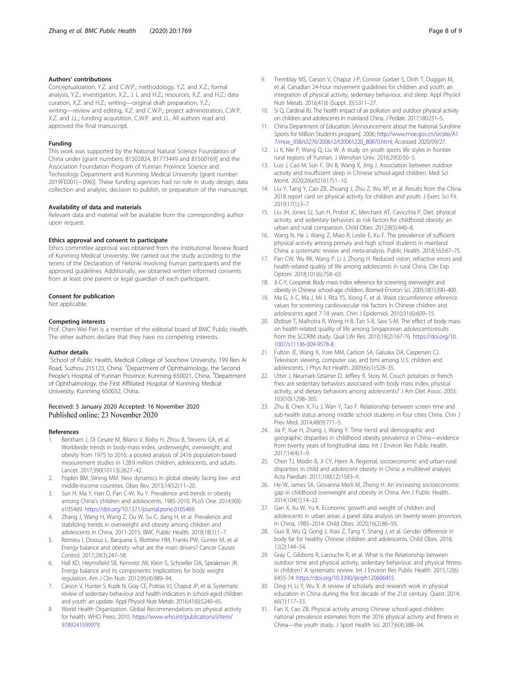#### <span id="page-7-0"></span>Authors' contributions

Conceptualization, Y.Z. and C.W.P.; methodology, Y.Z. and X.Z.; formal analysis, Y.Z.; investigation, X.Z., J. L and H.Z.; resources, X.Z. and H.Z.; data curation, X.Z. and H.Z.; writing—original draft preparation, Y.Z.; writing—review and editing, X.Z. and C.W.P.; project administration, C.W.P, X.Z. and J.L.; funding acquisition, C.W.P. and J.L. All authors read and approved the final manuscript.

#### Funding

This work was supported by the National Natural Science Foundation of China under [grant numbers: 81502824, 81773449 and 81560169] and the Association Foundation Program of Yunnan Province Science and Technology Department and Kunming Medical University [grant number: 2019FE001(− 096)]. These funding agencies had no role in study design, data collection and analysis, decision to publish, or preparation of the manuscript.

#### Availability of data and materials

Relevant data and material will be available from the corresponding author upon request.

#### Ethics approval and consent to participate

Ethics committee approval was obtained from the Institutional Review Board of Kunming Medical University. We carried out the study according to the tenets of the Declaration of Helsinki involving human participants and the approved guidelines. Additionally, we obtained written informed consents from at least one parent or legal guardian of each participant.

#### Consent for publication

Not applicable.

#### Competing interests

Prof. Chen-Wei Pan is a member of the editorial board of BMC Public Health. The other authors declare that they have no competing interests.

#### Author details

<sup>1</sup>School of Public Health, Medical College of Soochow University, 199 Ren Ai Road, Suzhou 215123, China. <sup>2</sup>Department of Ophthalmology, the Second People's Hospital of Yunnan Province, Kunming 650021, China. <sup>3</sup>Department of Ophthalmology, the First Affiliated Hospital of Kunming Medical University, Kunming 650032, China.

### Received: 5 January 2020 Accepted: 16 November 2020 Published online: 23 November 2020

#### References

- 1. Bentham J, Di Cesare M, Bilano V, Bixby H, Zhou B, Stevens GA, et al. Worldwide trends in body-mass index, underweight, overweight, and obesity from 1975 to 2016: a pooled analysis of 2416 population-based measurement studies in 128·9 million children, adolescents, and adults. Lancet. 2017;390(10113):2627–42.
- 2. Popkin BM, Slining MM. New dynamics in global obesity facing low- and middle-income countries. Obes Rev. 2013;14(S2):11–20.
- 3. Sun H, Ma Y, Han D, Pan C-W, Xu Y. Prevalence and trends in obesity among China's children and adolescents, 1985-2010. PLoS One. 2014;9(8): e105469. [https://doi.org/10.1371/journal.pone.0105469.](https://doi.org/10.1371/journal.pone.0105469)
- 4. Zhang J, Wang H, Wang Z, Du W, Su C, Jiang H, et al. Prevalence and stabilizing trends in overweight and obesity among children and adolescents in China, 2011-2015. BMC Public Health. 2018;18(1):1–7.
- Romieu I, Dossus L, Barquera S, Blottière HM, Franks PW, Gunter M, et al. Energy balance and obesity: what are the main drivers? Cancer Causes Control. 2017;28(3):247–58.
- 6. Hall KD, Heymsfield SB, Kemnitz JW, Klein S, Schoeller DA, Speakman JR. Energy balance and its components: implications for body weight regulation. Am J Clin Nutr. 2012;95(4):989–94.
- 7. Carson V, Hunter S, Kuzik N, Gray CE, Poitras VJ, Chaput JP, et al. Systematic review of sedentary behaviour and health indicators in school-aged children and youth: an update. Appl Physiol Nutr Metab. 2016;41(6):S240–65.
- World Health Organization. Global Recommendations on physical activity for health. WHO Press; 2010. [https://www.who.int/publications/i/item/](https://www.who.int/publications/i/item/9789241599979) [9789241599979](https://www.who.int/publications/i/item/9789241599979).
- 9. Tremblay MS, Carson V, Chaput J-P, Connor Gorber S, Dinh T, Duggan M, et al. Canadian 24-hour movement guidelines for children and youth: an integration of physical activity, sedentary behaviour, and sleep. Appl Physiol Nutr Metab. 2016;41(6 (Suppl. 3)):S311–27.
- 10. Si Q, Cardinal BJ. The health impact of air pollution and outdoor physical activity on children and adolescents in mainland China. J Pediatr. 2017;180:251–5.
- 11. China Department of Education. [Announcement about the National Sunshine Sports for Million Students program]. 2006; [http://www.moe.gov.cn/srcsite/A1](http://www.moe.gov.cn/srcsite/A17/moe_938/s3276/200612/t20061220_80870.html;) [7/moe\\_938/s3276/200612/t20061220\\_80870.html;](http://www.moe.gov.cn/srcsite/A17/moe_938/s3276/200612/t20061220_80870.html;) Accessed 2020/09/27.
- 12. Li K, Nie P, Wang Q, Liu W. A study on youth sports life styles in frontier rural regions of Yunnan. J Wenshan Univ. 2016;29(3):50–5.
- 13. Luo J, Cao M, Sun F, Shi B, Wang X, Jing J. Association between outdoor activity and insufficient sleep in Chinese school-aged children. Med Sci Monit. 2020;26(e921617):1–10.
- 14. Liu Y, Tang Y, Cao ZB, Zhuang J, Zhu Z, Wu XP, et al. Results from the China 2018 report card on physical activity for children and youth. J Exerc Sci Fit. 2019;17(1):3–7.
- 15. Liu JH, Jones SJ, Sun H, Probst JC, Merchant AT, Cavicchia P. Diet, physical activity, and sedentary behaviors as risk factors for childhood obesity: an urban and rural comparison. Child Obes. 2012;8(5):440–8.
- 16. Wang N, He J, Wang Z, Miao R, Leslie E, Xu F. The prevalence of sufficient physical activity among primary and high school students in mainland China: a systematic review and meta-analysis. Public Health. 2018;163:67–75.
- 17. Pan CW, Wu RK, Wang P, Li J, Zhong H. Reduced vision, refractive errors and health-related quality of life among adolescents in rural China. Clin Exp Optom. 2018;101(6):758–63.
- 18. Ji C-Y, Cooperat. Body mass index reference for screening overweight and obesity in Chinese school-age children. Biomed Environ Sci. 2005;18(1):390–400.
- 19. Ma G, Ji C, Ma J, Mi J, Rita YS, Xiong F, et al. Waist circumference reference values for screening cardiovascular risk factors in Chinese children and adolescents aged 7-18 years. Chin J Epidemiol. 2010;31(6):609–15.
- 20. Østbye T, Malhotra R, Wong H-B, Tan S-B, Saw S-M. The effect of body mass on health-related quality of life among Singaporean adolescents:results from the SCORM study. Qual Life Res. 2010;19(2):167-76. [https://doi.org/10.](https://doi.org/10.1007/s11136-009-9578-8) [1007/s11136-009-9578-8](https://doi.org/10.1007/s11136-009-9578-8).
- 21. Fulton JE, Wang X, Yore MM, Carlson SA, Galuska DA, Caspersen CJ. Television viewing, computer use, and bmi among U.S. children and adolescents. J Phys Act Health. 2009;6(s1):S28–35.
- 22. Utter J, Neumark-Sztainer D, Jeffery R, Story M. Couch potatoes or french fries: are sedentary behaviors associated with body mass index, physical activity, and dietary behaviors among adolescents? J Am Diet Assoc. 2003; 103(10):1298–305.
- 23. Zhu B, Chen X, Fu J, Wan Y, Tao F. Relationship between screen time and sub-health status among middle school students in four cities China. Chin J Prev Med. 2014;48(9):771–5.
- 24. Jia P, Xue H, Zhang J, Wang Y. Time trend and demographic and geographic disparities in childhood obesity prevalence in China—evidence from twenty years of longitudinal data. Int J Environ Res Public Health. 2017;14(4):1–9.
- 25. Chen TJ, Modin B, Ji CY, Hjern A. Regional, socioeconomic and urban-rural disparities in child and adolescent obesity in China: a multilevel analysis. Acta Paediatr. 2011;100(12):1583–9.
- 26. He W, James SA, Giovanna Merli M, Zheng H. An increasing socioeconomic gap in childhood overweight and obesity in China. Am J Public Health. 2014;104(1):14–22.
- 27. Gan X, Xu W, Yu K. Economic growth and weight of children and adolescents in urban areas: a panel data analysis on twenty-seven provinces in China, 1985–2014. Child Obes. 2020;16(2):86–93.
- 28. Guo B, Wu Q, Gong J, Xiao Z, Tang Y, Shang J, et al. Gender difference in body fat for healthy Chinese children and adolescents. Child Obes. 2016; 12(2):144–54.
- 29. Gray C, Gibbons R, Larouche R, et al. What Is the Relationship between outdoor time and physical activity, sedentary behaviour, and physical fitness in children? A systematic review. Int J Environ Res Public Health. 2015;12(6): 6455-74. [https://doi.org/10.3390/ijerph120606455.](https://doi.org/10.3390/ijerph120606455)
- 30. Ding H, Li Y, Wu X. A review of scholarly and research work in physical education in China during the first decade of the 21st century. Quest. 2014; 66(1):117–33.
- 31. Fan X, Cao ZB. Physical activity among Chinese school-aged children: national prevalence estimates from the 2016 physical activity and fitness in China—the youth study. J Sport Health Sci. 2017;6(4):388–94.